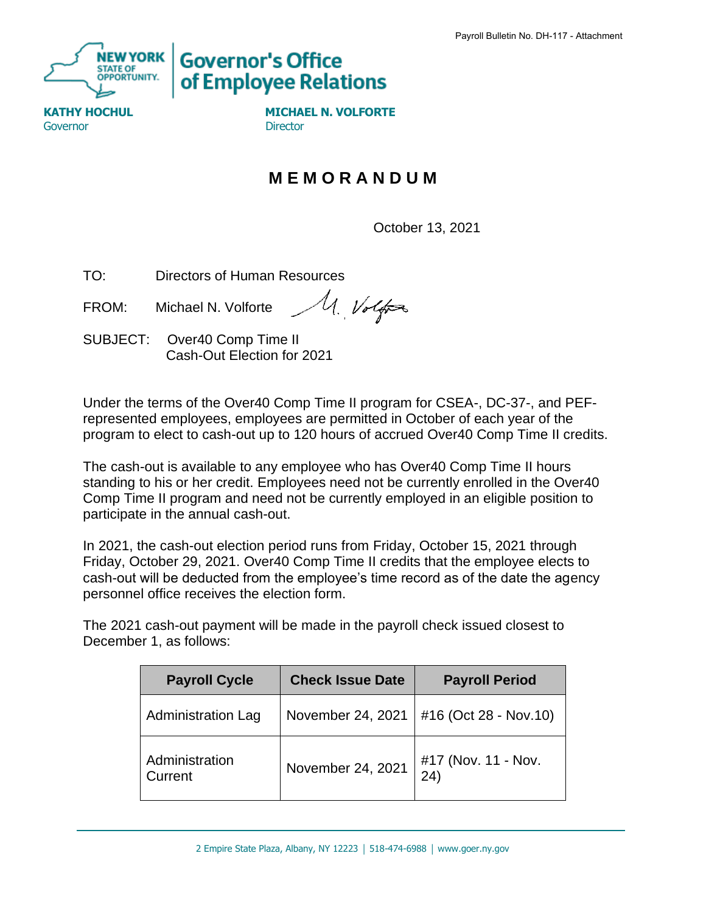

**Governor's Office** of Employee Relations

Governor **Director** Director

**KATHY HOCHUL MICHAEL N. VOLFORTE** 

## **M E M O R A N D U M**

October 13, 2021

TO: Directors of Human Resources

M. Volfor FROM: Michael N. Volforte

SUBJECT: Over40 Comp Time II Cash-Out Election for 2021

Under the terms of the Over40 Comp Time II program for CSEA-, DC-37-, and PEFrepresented employees, employees are permitted in October of each year of the program to elect to cash-out up to 120 hours of accrued Over40 Comp Time II credits.

The cash-out is available to any employee who has Over40 Comp Time II hours standing to his or her credit. Employees need not be currently enrolled in the Over40 Comp Time II program and need not be currently employed in an eligible position to participate in the annual cash-out.

In 2021, the cash-out election period runs from Friday, October 15, 2021 through Friday, October 29, 2021. Over40 Comp Time II credits that the employee elects to cash-out will be deducted from the employee's time record as of the date the agency personnel office receives the election form.

The 2021 cash-out payment will be made in the payroll check issued closest to December 1, as follows:

| <b>Payroll Cycle</b>      | <b>Check Issue Date</b> | <b>Payroll Period</b>       |
|---------------------------|-------------------------|-----------------------------|
| <b>Administration Lag</b> | November 24, 2021       | #16 (Oct 28 - Nov.10)       |
| Administration<br>Current | November 24, 2021       | #17 (Nov. 11 - Nov.<br>(24) |